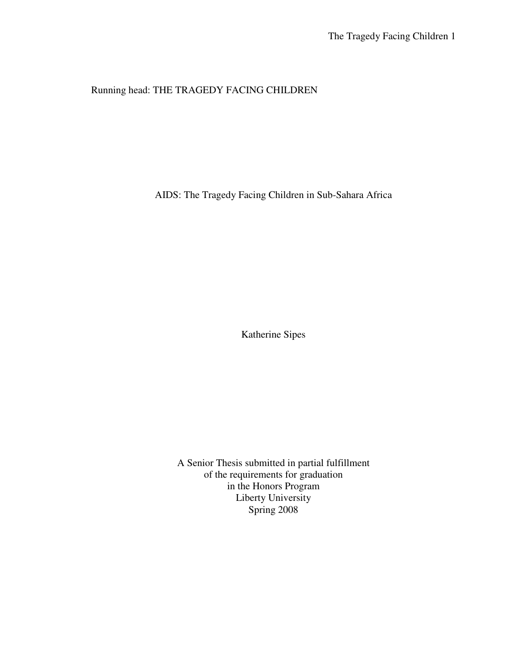# Running head: THE TRAGEDY FACING CHILDREN

AIDS: The Tragedy Facing Children in Sub-Sahara Africa

Katherine Sipes

A Senior Thesis submitted in partial fulfillment of the requirements for graduation in the Honors Program Liberty University Spring 2008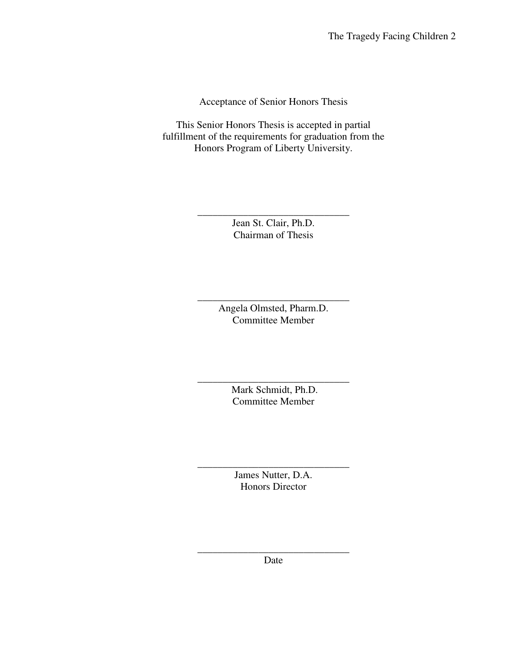Acceptance of Senior Honors Thesis

This Senior Honors Thesis is accepted in partial fulfillment of the requirements for graduation from the Honors Program of Liberty University.

> \_\_\_\_\_\_\_\_\_\_\_\_\_\_\_\_\_\_\_\_\_\_\_\_\_\_\_\_\_\_ Jean St. Clair, Ph.D. Chairman of Thesis

> > Angela Olmsted, Pharm.D. Committee Member

\_\_\_\_\_\_\_\_\_\_\_\_\_\_\_\_\_\_\_\_\_\_\_\_\_\_\_\_\_\_

 Mark Schmidt, Ph.D. Committee Member

\_\_\_\_\_\_\_\_\_\_\_\_\_\_\_\_\_\_\_\_\_\_\_\_\_\_\_\_\_\_

James Nutter, D.A. Honors Director

\_\_\_\_\_\_\_\_\_\_\_\_\_\_\_\_\_\_\_\_\_\_\_\_\_\_\_\_\_\_

\_\_\_\_\_\_\_\_\_\_\_\_\_\_\_\_\_\_\_\_\_\_\_\_\_\_\_\_\_\_ Date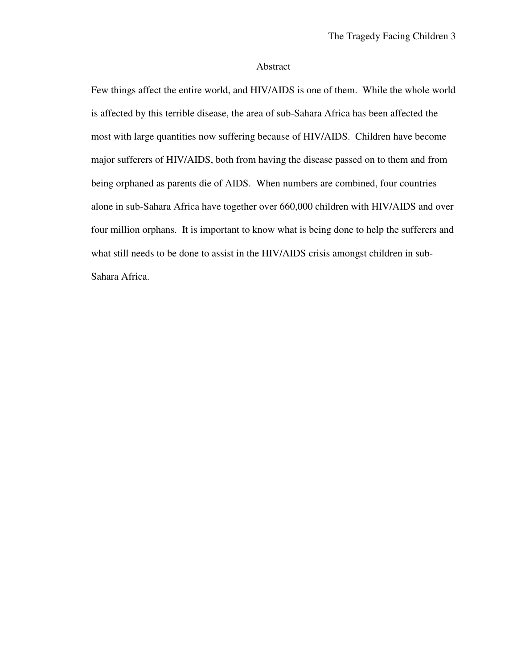#### Abstract

Few things affect the entire world, and HIV/AIDS is one of them. While the whole world is affected by this terrible disease, the area of sub-Sahara Africa has been affected the most with large quantities now suffering because of HIV/AIDS. Children have become major sufferers of HIV/AIDS, both from having the disease passed on to them and from being orphaned as parents die of AIDS. When numbers are combined, four countries alone in sub-Sahara Africa have together over 660,000 children with HIV/AIDS and over four million orphans. It is important to know what is being done to help the sufferers and what still needs to be done to assist in the HIV/AIDS crisis amongst children in sub-Sahara Africa.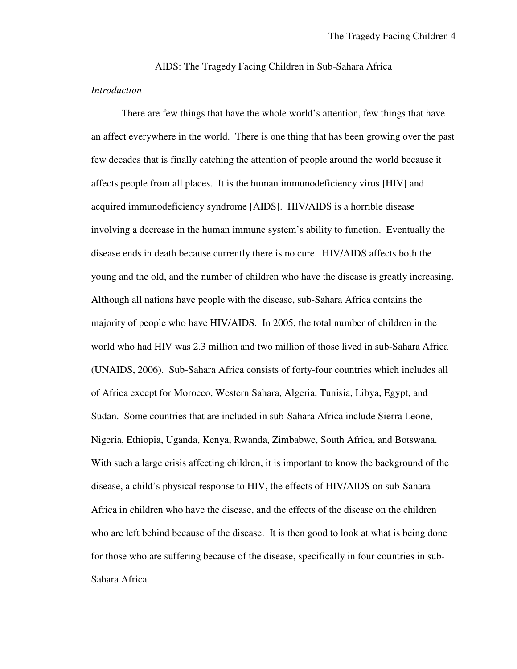AIDS: The Tragedy Facing Children in Sub-Sahara Africa *Introduction* 

 There are few things that have the whole world's attention, few things that have an affect everywhere in the world. There is one thing that has been growing over the past few decades that is finally catching the attention of people around the world because it affects people from all places. It is the human immunodeficiency virus [HIV] and acquired immunodeficiency syndrome [AIDS]. HIV/AIDS is a horrible disease involving a decrease in the human immune system's ability to function. Eventually the disease ends in death because currently there is no cure. HIV/AIDS affects both the young and the old, and the number of children who have the disease is greatly increasing. Although all nations have people with the disease, sub-Sahara Africa contains the majority of people who have HIV/AIDS. In 2005, the total number of children in the world who had HIV was 2.3 million and two million of those lived in sub-Sahara Africa (UNAIDS, 2006). Sub-Sahara Africa consists of forty-four countries which includes all of Africa except for Morocco, Western Sahara, Algeria, Tunisia, Libya, Egypt, and Sudan. Some countries that are included in sub-Sahara Africa include Sierra Leone, Nigeria, Ethiopia, Uganda, Kenya, Rwanda, Zimbabwe, South Africa, and Botswana. With such a large crisis affecting children, it is important to know the background of the disease, a child's physical response to HIV, the effects of HIV/AIDS on sub-Sahara Africa in children who have the disease, and the effects of the disease on the children who are left behind because of the disease. It is then good to look at what is being done for those who are suffering because of the disease, specifically in four countries in sub-Sahara Africa.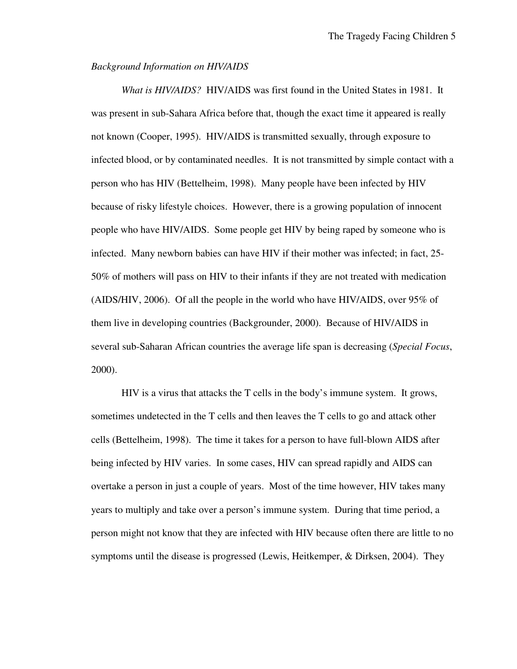## *Background Information on HIV/AIDS*

 *What is HIV/AIDS?* HIV/AIDS was first found in the United States in 1981. It was present in sub-Sahara Africa before that, though the exact time it appeared is really not known (Cooper, 1995). HIV/AIDS is transmitted sexually, through exposure to infected blood, or by contaminated needles. It is not transmitted by simple contact with a person who has HIV (Bettelheim, 1998). Many people have been infected by HIV because of risky lifestyle choices. However, there is a growing population of innocent people who have HIV/AIDS. Some people get HIV by being raped by someone who is infected. Many newborn babies can have HIV if their mother was infected; in fact, 25- 50% of mothers will pass on HIV to their infants if they are not treated with medication (AIDS/HIV, 2006). Of all the people in the world who have HIV/AIDS, over 95% of them live in developing countries (Backgrounder, 2000). Because of HIV/AIDS in several sub-Saharan African countries the average life span is decreasing (*Special Focus*, 2000).

 HIV is a virus that attacks the T cells in the body's immune system. It grows, sometimes undetected in the T cells and then leaves the T cells to go and attack other cells (Bettelheim, 1998). The time it takes for a person to have full-blown AIDS after being infected by HIV varies. In some cases, HIV can spread rapidly and AIDS can overtake a person in just a couple of years. Most of the time however, HIV takes many years to multiply and take over a person's immune system. During that time period, a person might not know that they are infected with HIV because often there are little to no symptoms until the disease is progressed (Lewis, Heitkemper, & Dirksen, 2004). They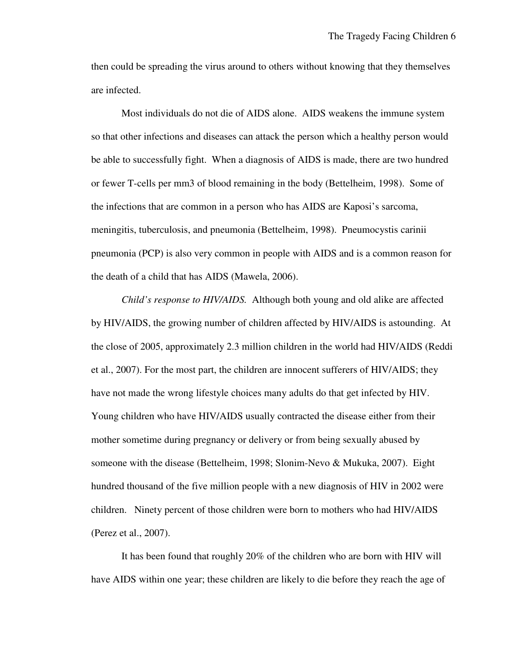then could be spreading the virus around to others without knowing that they themselves are infected.

 Most individuals do not die of AIDS alone. AIDS weakens the immune system so that other infections and diseases can attack the person which a healthy person would be able to successfully fight. When a diagnosis of AIDS is made, there are two hundred or fewer T-cells per mm3 of blood remaining in the body (Bettelheim, 1998). Some of the infections that are common in a person who has AIDS are Kaposi's sarcoma, meningitis, tuberculosis, and pneumonia (Bettelheim, 1998). Pneumocystis carinii pneumonia (PCP) is also very common in people with AIDS and is a common reason for the death of a child that has AIDS (Mawela, 2006).

 *Child's response to HIV/AIDS.* Although both young and old alike are affected by HIV/AIDS, the growing number of children affected by HIV/AIDS is astounding. At the close of 2005, approximately 2.3 million children in the world had HIV/AIDS (Reddi et al., 2007). For the most part, the children are innocent sufferers of HIV/AIDS; they have not made the wrong lifestyle choices many adults do that get infected by HIV. Young children who have HIV/AIDS usually contracted the disease either from their mother sometime during pregnancy or delivery or from being sexually abused by someone with the disease (Bettelheim, 1998; Slonim-Nevo & Mukuka, 2007). Eight hundred thousand of the five million people with a new diagnosis of HIV in 2002 were children. Ninety percent of those children were born to mothers who had HIV/AIDS (Perez et al., 2007).

 It has been found that roughly 20% of the children who are born with HIV will have AIDS within one year; these children are likely to die before they reach the age of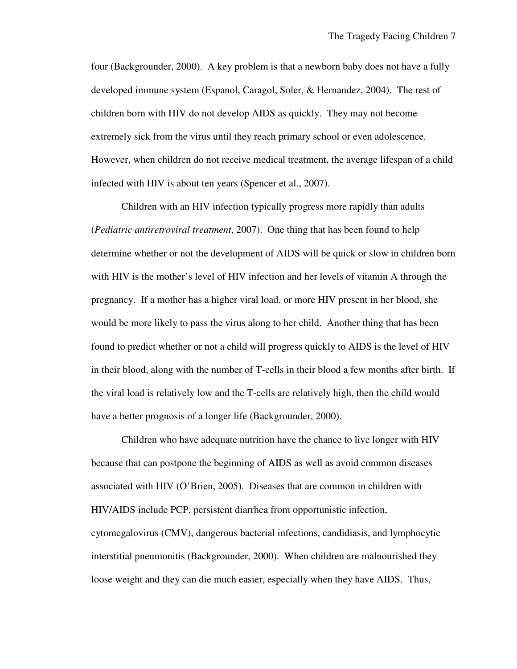four (Backgrounder, 2000). A key problem is that a newborn baby does not have a fully developed immune system (Espanol, Caragol, Soler, & Hernandez, 2004). The rest of children born with HIV do not develop AIDS as quickly. They may not become extremely sick from the virus until they reach primary school or even adolescence. However, when children do not receive medical treatment, the average lifespan of a child infected with HIV is about ten years (Spencer et al., 2007).

 Children with an HIV infection typically progress more rapidly than adults (*Pediatric antiretroviral treatment*, 2007). One thing that has been found to help determine whether or not the development of AIDS will be quick or slow in children born with HIV is the mother's level of HIV infection and her levels of vitamin A through the pregnancy. If a mother has a higher viral load, or more HIV present in her blood, she would be more likely to pass the virus along to her child. Another thing that has been found to predict whether or not a child will progress quickly to AIDS is the level of HIV in their blood, along with the number of T-cells in their blood a few months after birth. If the viral load is relatively low and the T-cells are relatively high, then the child would have a better prognosis of a longer life (Backgrounder, 2000).

 Children who have adequate nutrition have the chance to live longer with HIV because that can postpone the beginning of AIDS as well as avoid common diseases associated with HIV (O'Brien, 2005). Diseases that are common in children with HIV/AIDS include PCP, persistent diarrhea from opportunistic infection, cytomegalovirus (CMV), dangerous bacterial infections, candidiasis, and lymphocytic interstitial pneumonitis (Backgrounder, 2000). When children are malnourished they loose weight and they can die much easier, especially when they have AIDS. Thus,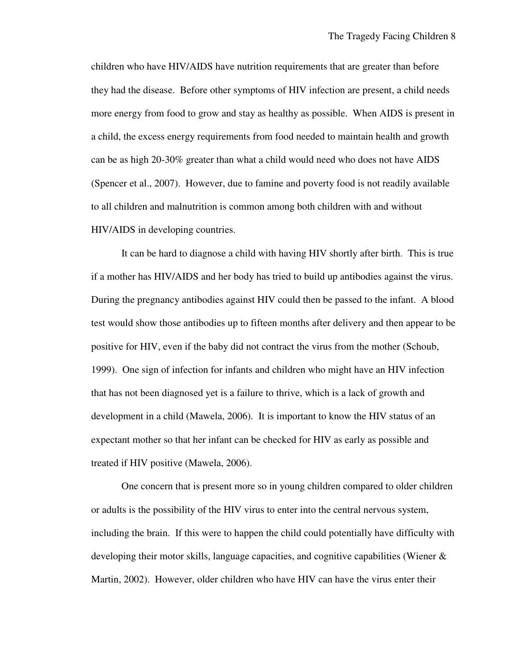children who have HIV/AIDS have nutrition requirements that are greater than before they had the disease. Before other symptoms of HIV infection are present, a child needs more energy from food to grow and stay as healthy as possible. When AIDS is present in a child, the excess energy requirements from food needed to maintain health and growth can be as high 20-30% greater than what a child would need who does not have AIDS (Spencer et al., 2007). However, due to famine and poverty food is not readily available to all children and malnutrition is common among both children with and without HIV/AIDS in developing countries.

 It can be hard to diagnose a child with having HIV shortly after birth. This is true if a mother has HIV/AIDS and her body has tried to build up antibodies against the virus. During the pregnancy antibodies against HIV could then be passed to the infant. A blood test would show those antibodies up to fifteen months after delivery and then appear to be positive for HIV, even if the baby did not contract the virus from the mother (Schoub, 1999). One sign of infection for infants and children who might have an HIV infection that has not been diagnosed yet is a failure to thrive, which is a lack of growth and development in a child (Mawela, 2006). It is important to know the HIV status of an expectant mother so that her infant can be checked for HIV as early as possible and treated if HIV positive (Mawela, 2006).

 One concern that is present more so in young children compared to older children or adults is the possibility of the HIV virus to enter into the central nervous system, including the brain. If this were to happen the child could potentially have difficulty with developing their motor skills, language capacities, and cognitive capabilities (Wiener  $\&$ Martin, 2002). However, older children who have HIV can have the virus enter their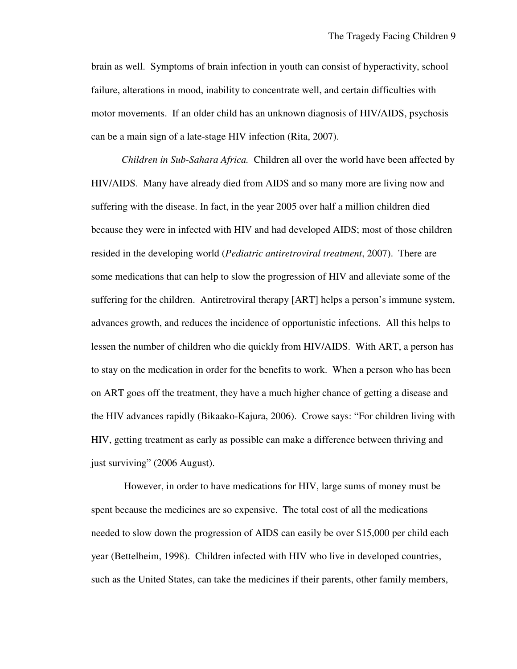brain as well. Symptoms of brain infection in youth can consist of hyperactivity, school failure, alterations in mood, inability to concentrate well, and certain difficulties with motor movements. If an older child has an unknown diagnosis of HIV/AIDS, psychosis can be a main sign of a late-stage HIV infection (Rita, 2007).

 *Children in Sub-Sahara Africa.* Children all over the world have been affected by HIV/AIDS. Many have already died from AIDS and so many more are living now and suffering with the disease. In fact, in the year 2005 over half a million children died because they were in infected with HIV and had developed AIDS; most of those children resided in the developing world (*Pediatric antiretroviral treatment*, 2007). There are some medications that can help to slow the progression of HIV and alleviate some of the suffering for the children. Antiretroviral therapy [ART] helps a person's immune system, advances growth, and reduces the incidence of opportunistic infections. All this helps to lessen the number of children who die quickly from HIV/AIDS. With ART, a person has to stay on the medication in order for the benefits to work. When a person who has been on ART goes off the treatment, they have a much higher chance of getting a disease and the HIV advances rapidly (Bikaako-Kajura, 2006). Crowe says: "For children living with HIV, getting treatment as early as possible can make a difference between thriving and just surviving" (2006 August).

 However, in order to have medications for HIV, large sums of money must be spent because the medicines are so expensive. The total cost of all the medications needed to slow down the progression of AIDS can easily be over \$15,000 per child each year (Bettelheim, 1998). Children infected with HIV who live in developed countries, such as the United States, can take the medicines if their parents, other family members,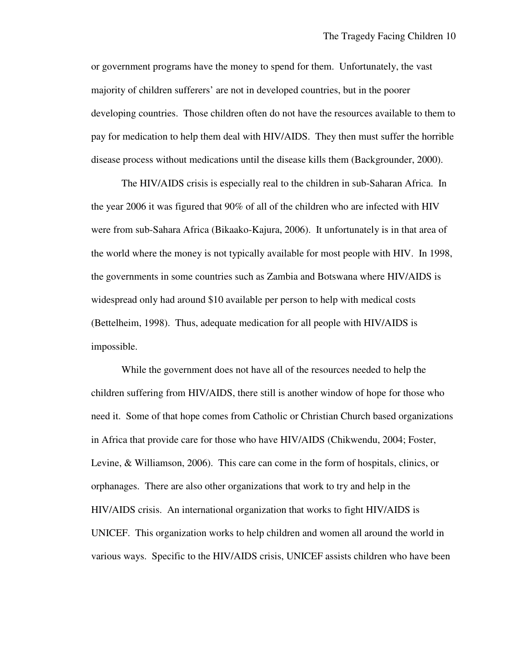or government programs have the money to spend for them. Unfortunately, the vast majority of children sufferers' are not in developed countries, but in the poorer developing countries. Those children often do not have the resources available to them to pay for medication to help them deal with HIV/AIDS. They then must suffer the horrible disease process without medications until the disease kills them (Backgrounder, 2000).

 The HIV/AIDS crisis is especially real to the children in sub-Saharan Africa. In the year 2006 it was figured that 90% of all of the children who are infected with HIV were from sub-Sahara Africa (Bikaako-Kajura, 2006). It unfortunately is in that area of the world where the money is not typically available for most people with HIV. In 1998, the governments in some countries such as Zambia and Botswana where HIV/AIDS is widespread only had around \$10 available per person to help with medical costs (Bettelheim, 1998). Thus, adequate medication for all people with HIV/AIDS is impossible.

 While the government does not have all of the resources needed to help the children suffering from HIV/AIDS, there still is another window of hope for those who need it. Some of that hope comes from Catholic or Christian Church based organizations in Africa that provide care for those who have HIV/AIDS (Chikwendu, 2004; Foster, Levine, & Williamson, 2006). This care can come in the form of hospitals, clinics, or orphanages. There are also other organizations that work to try and help in the HIV/AIDS crisis. An international organization that works to fight HIV/AIDS is UNICEF. This organization works to help children and women all around the world in various ways. Specific to the HIV/AIDS crisis, UNICEF assists children who have been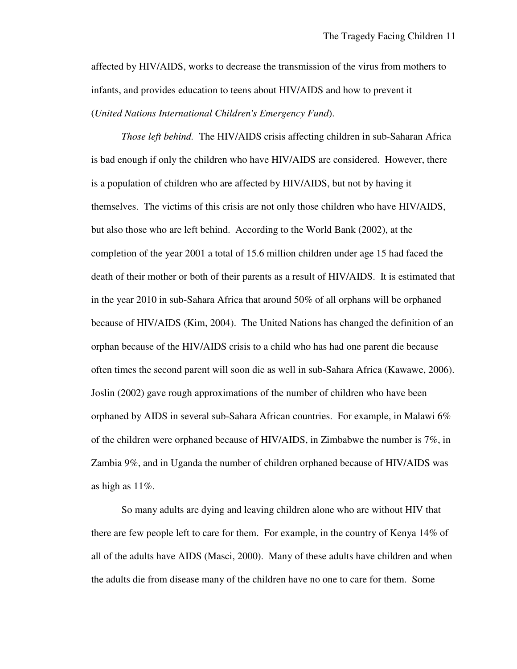affected by HIV/AIDS, works to decrease the transmission of the virus from mothers to infants, and provides education to teens about HIV/AIDS and how to prevent it (*United Nations International Children's Emergency Fund*).

 *Those left behind.* The HIV/AIDS crisis affecting children in sub-Saharan Africa is bad enough if only the children who have HIV/AIDS are considered. However, there is a population of children who are affected by HIV/AIDS, but not by having it themselves. The victims of this crisis are not only those children who have HIV/AIDS, but also those who are left behind. According to the World Bank (2002), at the completion of the year 2001 a total of 15.6 million children under age 15 had faced the death of their mother or both of their parents as a result of HIV/AIDS. It is estimated that in the year 2010 in sub-Sahara Africa that around 50% of all orphans will be orphaned because of HIV/AIDS (Kim, 2004). The United Nations has changed the definition of an orphan because of the HIV/AIDS crisis to a child who has had one parent die because often times the second parent will soon die as well in sub-Sahara Africa (Kawawe, 2006). Joslin (2002) gave rough approximations of the number of children who have been orphaned by AIDS in several sub-Sahara African countries. For example, in Malawi 6% of the children were orphaned because of HIV/AIDS, in Zimbabwe the number is 7%, in Zambia 9%, and in Uganda the number of children orphaned because of HIV/AIDS was as high as  $11\%$ .

 So many adults are dying and leaving children alone who are without HIV that there are few people left to care for them. For example, in the country of Kenya 14% of all of the adults have AIDS (Masci, 2000). Many of these adults have children and when the adults die from disease many of the children have no one to care for them. Some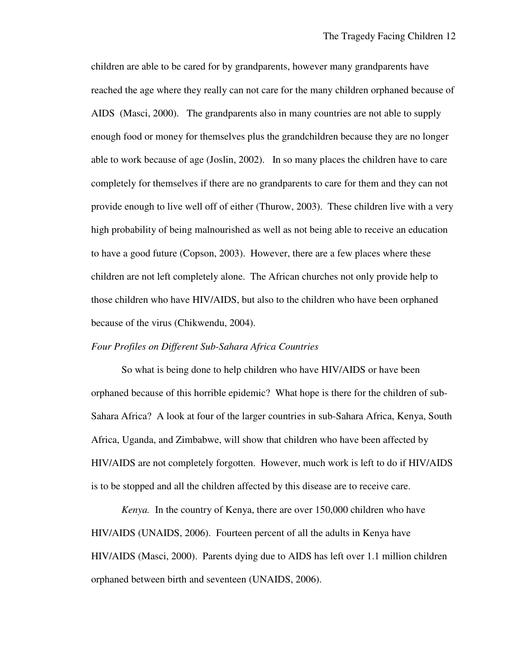children are able to be cared for by grandparents, however many grandparents have reached the age where they really can not care for the many children orphaned because of AIDS (Masci, 2000). The grandparents also in many countries are not able to supply enough food or money for themselves plus the grandchildren because they are no longer able to work because of age (Joslin, 2002). In so many places the children have to care completely for themselves if there are no grandparents to care for them and they can not provide enough to live well off of either (Thurow, 2003). These children live with a very high probability of being malnourished as well as not being able to receive an education to have a good future (Copson, 2003). However, there are a few places where these children are not left completely alone. The African churches not only provide help to those children who have HIV/AIDS, but also to the children who have been orphaned because of the virus (Chikwendu, 2004).

## *Four Profiles on Different Sub-Sahara Africa Countries*

 So what is being done to help children who have HIV/AIDS or have been orphaned because of this horrible epidemic? What hope is there for the children of sub-Sahara Africa? A look at four of the larger countries in sub-Sahara Africa, Kenya, South Africa, Uganda, and Zimbabwe, will show that children who have been affected by HIV/AIDS are not completely forgotten. However, much work is left to do if HIV/AIDS is to be stopped and all the children affected by this disease are to receive care.

 *Kenya.* In the country of Kenya, there are over 150,000 children who have HIV/AIDS (UNAIDS, 2006). Fourteen percent of all the adults in Kenya have HIV/AIDS (Masci, 2000). Parents dying due to AIDS has left over 1.1 million children orphaned between birth and seventeen (UNAIDS, 2006).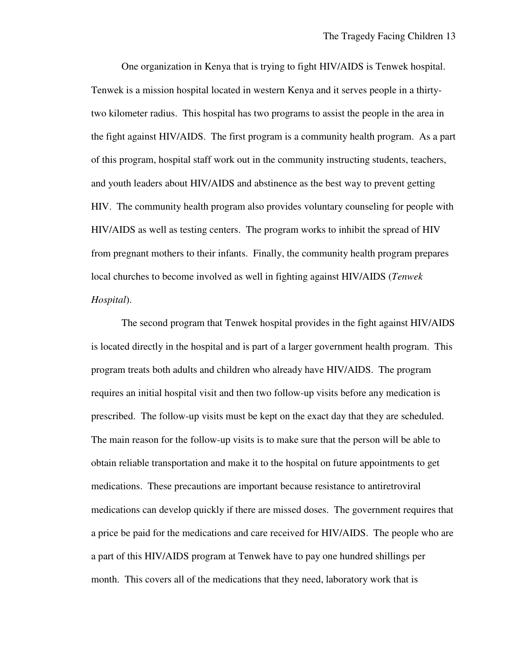One organization in Kenya that is trying to fight HIV/AIDS is Tenwek hospital. Tenwek is a mission hospital located in western Kenya and it serves people in a thirtytwo kilometer radius. This hospital has two programs to assist the people in the area in the fight against HIV/AIDS. The first program is a community health program. As a part of this program, hospital staff work out in the community instructing students, teachers, and youth leaders about HIV/AIDS and abstinence as the best way to prevent getting HIV. The community health program also provides voluntary counseling for people with HIV/AIDS as well as testing centers. The program works to inhibit the spread of HIV from pregnant mothers to their infants. Finally, the community health program prepares local churches to become involved as well in fighting against HIV/AIDS (*Tenwek Hospital*).

 The second program that Tenwek hospital provides in the fight against HIV/AIDS is located directly in the hospital and is part of a larger government health program. This program treats both adults and children who already have HIV/AIDS. The program requires an initial hospital visit and then two follow-up visits before any medication is prescribed. The follow-up visits must be kept on the exact day that they are scheduled. The main reason for the follow-up visits is to make sure that the person will be able to obtain reliable transportation and make it to the hospital on future appointments to get medications. These precautions are important because resistance to antiretroviral medications can develop quickly if there are missed doses. The government requires that a price be paid for the medications and care received for HIV/AIDS. The people who are a part of this HIV/AIDS program at Tenwek have to pay one hundred shillings per month. This covers all of the medications that they need, laboratory work that is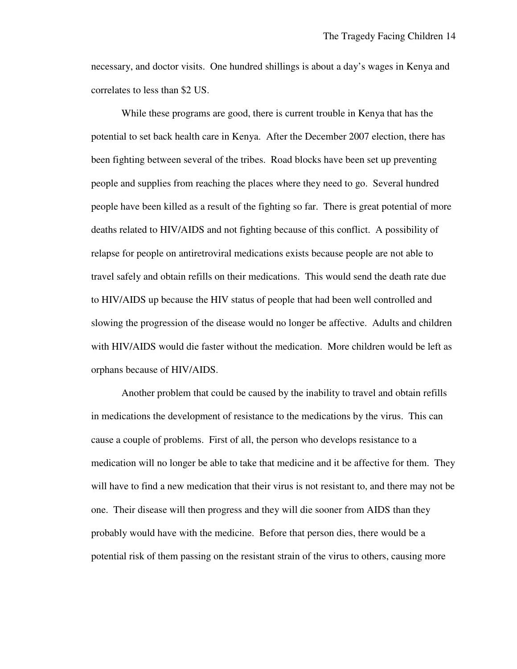necessary, and doctor visits. One hundred shillings is about a day's wages in Kenya and correlates to less than \$2 US.

 While these programs are good, there is current trouble in Kenya that has the potential to set back health care in Kenya. After the December 2007 election, there has been fighting between several of the tribes. Road blocks have been set up preventing people and supplies from reaching the places where they need to go. Several hundred people have been killed as a result of the fighting so far. There is great potential of more deaths related to HIV/AIDS and not fighting because of this conflict. A possibility of relapse for people on antiretroviral medications exists because people are not able to travel safely and obtain refills on their medications. This would send the death rate due to HIV/AIDS up because the HIV status of people that had been well controlled and slowing the progression of the disease would no longer be affective. Adults and children with HIV/AIDS would die faster without the medication. More children would be left as orphans because of HIV/AIDS.

 Another problem that could be caused by the inability to travel and obtain refills in medications the development of resistance to the medications by the virus. This can cause a couple of problems. First of all, the person who develops resistance to a medication will no longer be able to take that medicine and it be affective for them. They will have to find a new medication that their virus is not resistant to, and there may not be one. Their disease will then progress and they will die sooner from AIDS than they probably would have with the medicine. Before that person dies, there would be a potential risk of them passing on the resistant strain of the virus to others, causing more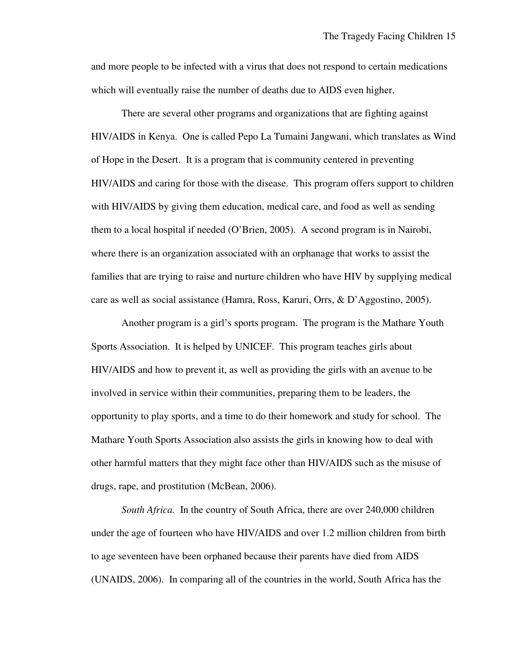and more people to be infected with a virus that does not respond to certain medications which will eventually raise the number of deaths due to AIDS even higher.

 There are several other programs and organizations that are fighting against HIV/AIDS in Kenya. One is called Pepo La Tumaini Jangwani, which translates as Wind of Hope in the Desert. It is a program that is community centered in preventing HIV/AIDS and caring for those with the disease. This program offers support to children with HIV/AIDS by giving them education, medical care, and food as well as sending them to a local hospital if needed (O'Brien, 2005). A second program is in Nairobi, where there is an organization associated with an orphanage that works to assist the families that are trying to raise and nurture children who have HIV by supplying medical care as well as social assistance (Hamra, Ross, Karuri, Orrs, & D'Aggostino, 2005).

 Another program is a girl's sports program. The program is the Mathare Youth Sports Association. It is helped by UNICEF. This program teaches girls about HIV/AIDS and how to prevent it, as well as providing the girls with an avenue to be involved in service within their communities, preparing them to be leaders, the opportunity to play sports, and a time to do their homework and study for school. The Mathare Youth Sports Association also assists the girls in knowing how to deal with other harmful matters that they might face other than HIV/AIDS such as the misuse of drugs, rape, and prostitution (McBean, 2006).

 *South Africa.* In the country of South Africa, there are over 240,000 children under the age of fourteen who have HIV/AIDS and over 1.2 million children from birth to age seventeen have been orphaned because their parents have died from AIDS (UNAIDS, 2006). In comparing all of the countries in the world, South Africa has the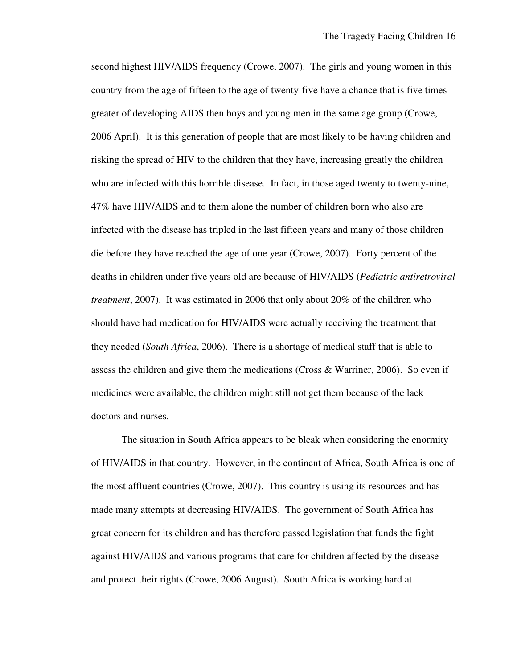second highest HIV/AIDS frequency (Crowe, 2007). The girls and young women in this country from the age of fifteen to the age of twenty-five have a chance that is five times greater of developing AIDS then boys and young men in the same age group (Crowe, 2006 April). It is this generation of people that are most likely to be having children and risking the spread of HIV to the children that they have, increasing greatly the children who are infected with this horrible disease. In fact, in those aged twenty to twenty-nine, 47% have HIV/AIDS and to them alone the number of children born who also are infected with the disease has tripled in the last fifteen years and many of those children die before they have reached the age of one year (Crowe, 2007). Forty percent of the deaths in children under five years old are because of HIV/AIDS (*Pediatric antiretroviral treatment*, 2007). It was estimated in 2006 that only about 20% of the children who should have had medication for HIV/AIDS were actually receiving the treatment that they needed (*South Africa*, 2006). There is a shortage of medical staff that is able to assess the children and give them the medications (Cross & Warriner, 2006). So even if medicines were available, the children might still not get them because of the lack doctors and nurses.

 The situation in South Africa appears to be bleak when considering the enormity of HIV/AIDS in that country. However, in the continent of Africa, South Africa is one of the most affluent countries (Crowe, 2007). This country is using its resources and has made many attempts at decreasing HIV/AIDS. The government of South Africa has great concern for its children and has therefore passed legislation that funds the fight against HIV/AIDS and various programs that care for children affected by the disease and protect their rights (Crowe, 2006 August). South Africa is working hard at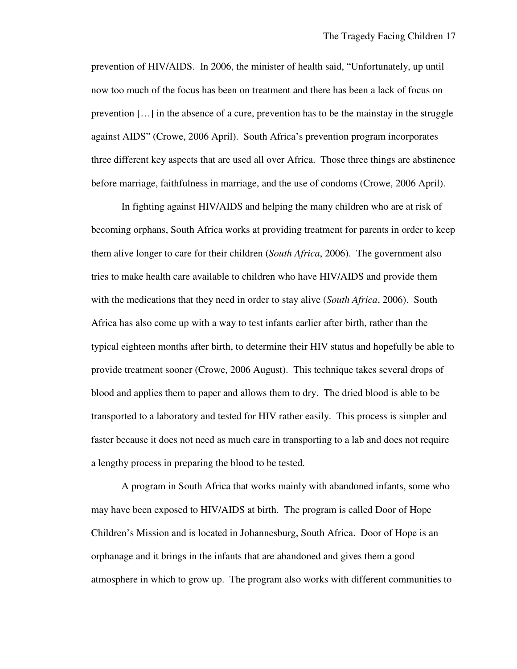prevention of HIV/AIDS. In 2006, the minister of health said, "Unfortunately, up until now too much of the focus has been on treatment and there has been a lack of focus on prevention […] in the absence of a cure, prevention has to be the mainstay in the struggle against AIDS" (Crowe, 2006 April). South Africa's prevention program incorporates three different key aspects that are used all over Africa. Those three things are abstinence before marriage, faithfulness in marriage, and the use of condoms (Crowe, 2006 April).

 In fighting against HIV/AIDS and helping the many children who are at risk of becoming orphans, South Africa works at providing treatment for parents in order to keep them alive longer to care for their children (*South Africa*, 2006). The government also tries to make health care available to children who have HIV/AIDS and provide them with the medications that they need in order to stay alive (*South Africa*, 2006). South Africa has also come up with a way to test infants earlier after birth, rather than the typical eighteen months after birth, to determine their HIV status and hopefully be able to provide treatment sooner (Crowe, 2006 August). This technique takes several drops of blood and applies them to paper and allows them to dry. The dried blood is able to be transported to a laboratory and tested for HIV rather easily. This process is simpler and faster because it does not need as much care in transporting to a lab and does not require a lengthy process in preparing the blood to be tested.

 A program in South Africa that works mainly with abandoned infants, some who may have been exposed to HIV/AIDS at birth. The program is called Door of Hope Children's Mission and is located in Johannesburg, South Africa. Door of Hope is an orphanage and it brings in the infants that are abandoned and gives them a good atmosphere in which to grow up. The program also works with different communities to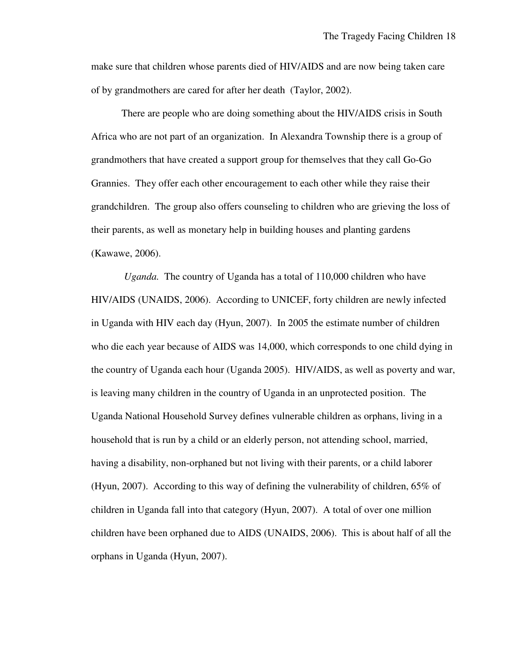make sure that children whose parents died of HIV/AIDS and are now being taken care of by grandmothers are cared for after her death (Taylor, 2002).

 There are people who are doing something about the HIV/AIDS crisis in South Africa who are not part of an organization. In Alexandra Township there is a group of grandmothers that have created a support group for themselves that they call Go-Go Grannies. They offer each other encouragement to each other while they raise their grandchildren. The group also offers counseling to children who are grieving the loss of their parents, as well as monetary help in building houses and planting gardens (Kawawe, 2006).

 *Uganda.* The country of Uganda has a total of 110,000 children who have HIV/AIDS (UNAIDS, 2006). According to UNICEF, forty children are newly infected in Uganda with HIV each day (Hyun, 2007). In 2005 the estimate number of children who die each year because of AIDS was 14,000, which corresponds to one child dying in the country of Uganda each hour (Uganda 2005). HIV/AIDS, as well as poverty and war, is leaving many children in the country of Uganda in an unprotected position. The Uganda National Household Survey defines vulnerable children as orphans, living in a household that is run by a child or an elderly person, not attending school, married, having a disability, non-orphaned but not living with their parents, or a child laborer (Hyun, 2007). According to this way of defining the vulnerability of children, 65% of children in Uganda fall into that category (Hyun, 2007). A total of over one million children have been orphaned due to AIDS (UNAIDS, 2006). This is about half of all the orphans in Uganda (Hyun, 2007).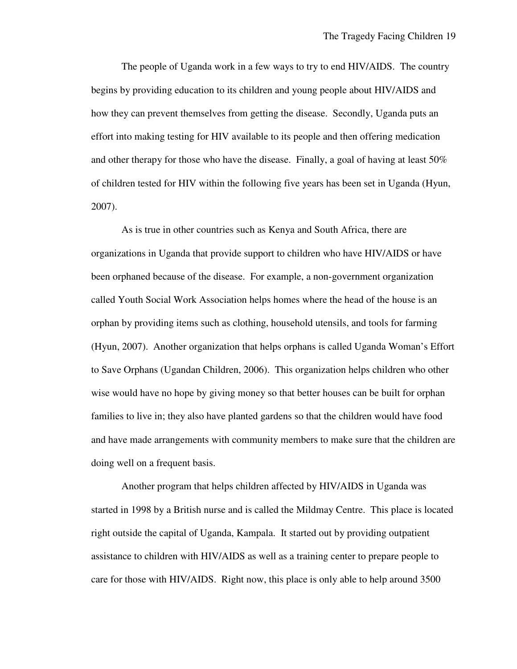The people of Uganda work in a few ways to try to end HIV/AIDS. The country begins by providing education to its children and young people about HIV/AIDS and how they can prevent themselves from getting the disease. Secondly, Uganda puts an effort into making testing for HIV available to its people and then offering medication and other therapy for those who have the disease. Finally, a goal of having at least 50% of children tested for HIV within the following five years has been set in Uganda (Hyun, 2007).

 As is true in other countries such as Kenya and South Africa, there are organizations in Uganda that provide support to children who have HIV/AIDS or have been orphaned because of the disease. For example, a non-government organization called Youth Social Work Association helps homes where the head of the house is an orphan by providing items such as clothing, household utensils, and tools for farming (Hyun, 2007). Another organization that helps orphans is called Uganda Woman's Effort to Save Orphans (Ugandan Children, 2006). This organization helps children who other wise would have no hope by giving money so that better houses can be built for orphan families to live in; they also have planted gardens so that the children would have food and have made arrangements with community members to make sure that the children are doing well on a frequent basis.

 Another program that helps children affected by HIV/AIDS in Uganda was started in 1998 by a British nurse and is called the Mildmay Centre. This place is located right outside the capital of Uganda, Kampala. It started out by providing outpatient assistance to children with HIV/AIDS as well as a training center to prepare people to care for those with HIV/AIDS. Right now, this place is only able to help around 3500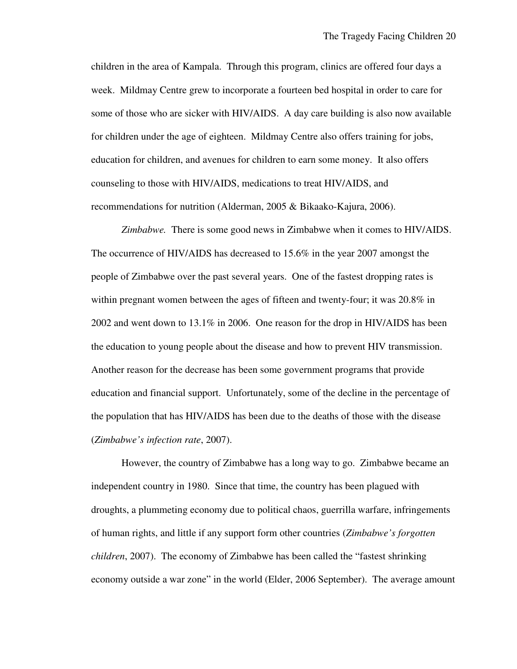children in the area of Kampala. Through this program, clinics are offered four days a week. Mildmay Centre grew to incorporate a fourteen bed hospital in order to care for some of those who are sicker with HIV/AIDS. A day care building is also now available for children under the age of eighteen. Mildmay Centre also offers training for jobs, education for children, and avenues for children to earn some money. It also offers counseling to those with HIV/AIDS, medications to treat HIV/AIDS, and recommendations for nutrition (Alderman, 2005 & Bikaako-Kajura, 2006).

*Zimbabwe.* There is some good news in Zimbabwe when it comes to HIV/AIDS. The occurrence of HIV/AIDS has decreased to 15.6% in the year 2007 amongst the people of Zimbabwe over the past several years. One of the fastest dropping rates is within pregnant women between the ages of fifteen and twenty-four; it was 20.8% in 2002 and went down to 13.1% in 2006. One reason for the drop in HIV/AIDS has been the education to young people about the disease and how to prevent HIV transmission. Another reason for the decrease has been some government programs that provide education and financial support. Unfortunately, some of the decline in the percentage of the population that has HIV/AIDS has been due to the deaths of those with the disease (*Zimbabwe's infection rate*, 2007).

 However, the country of Zimbabwe has a long way to go. Zimbabwe became an independent country in 1980. Since that time, the country has been plagued with droughts, a plummeting economy due to political chaos, guerrilla warfare, infringements of human rights, and little if any support form other countries (*Zimbabwe's forgotten children*, 2007). The economy of Zimbabwe has been called the "fastest shrinking economy outside a war zone" in the world (Elder, 2006 September). The average amount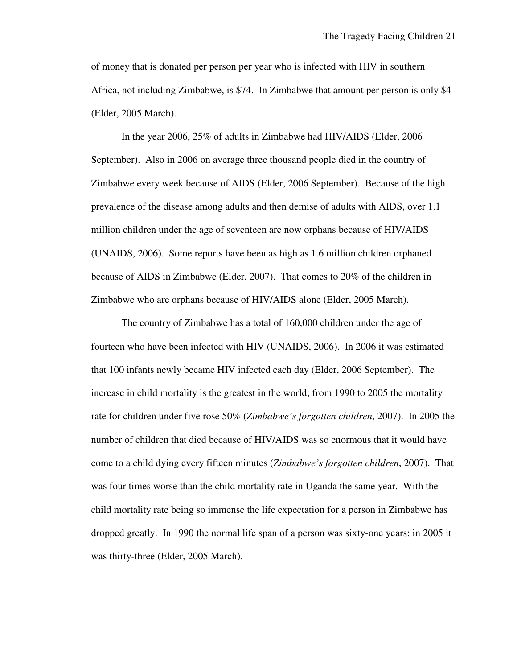of money that is donated per person per year who is infected with HIV in southern Africa, not including Zimbabwe, is \$74. In Zimbabwe that amount per person is only \$4 (Elder, 2005 March).

 In the year 2006, 25% of adults in Zimbabwe had HIV/AIDS (Elder, 2006 September). Also in 2006 on average three thousand people died in the country of Zimbabwe every week because of AIDS (Elder, 2006 September). Because of the high prevalence of the disease among adults and then demise of adults with AIDS, over 1.1 million children under the age of seventeen are now orphans because of HIV/AIDS (UNAIDS, 2006). Some reports have been as high as 1.6 million children orphaned because of AIDS in Zimbabwe (Elder, 2007). That comes to 20% of the children in Zimbabwe who are orphans because of HIV/AIDS alone (Elder, 2005 March).

 The country of Zimbabwe has a total of 160,000 children under the age of fourteen who have been infected with HIV (UNAIDS, 2006). In 2006 it was estimated that 100 infants newly became HIV infected each day (Elder, 2006 September). The increase in child mortality is the greatest in the world; from 1990 to 2005 the mortality rate for children under five rose 50% (*Zimbabwe's forgotten children*, 2007). In 2005 the number of children that died because of HIV/AIDS was so enormous that it would have come to a child dying every fifteen minutes (*Zimbabwe's forgotten children*, 2007). That was four times worse than the child mortality rate in Uganda the same year. With the child mortality rate being so immense the life expectation for a person in Zimbabwe has dropped greatly. In 1990 the normal life span of a person was sixty-one years; in 2005 it was thirty-three (Elder, 2005 March).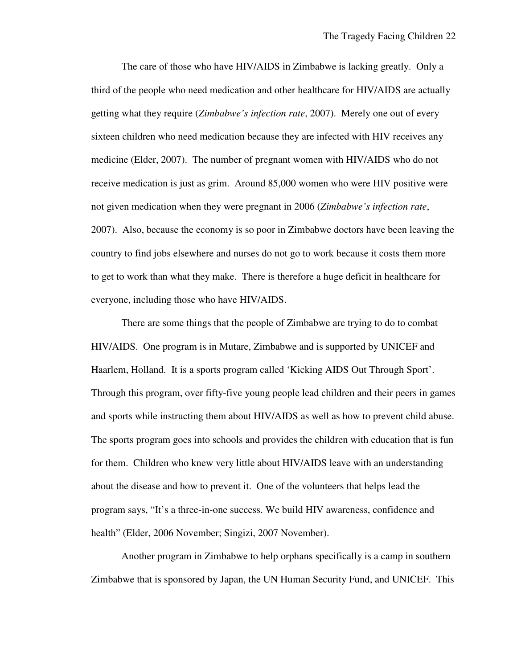The care of those who have HIV/AIDS in Zimbabwe is lacking greatly. Only a third of the people who need medication and other healthcare for HIV/AIDS are actually getting what they require (*Zimbabwe's infection rate*, 2007). Merely one out of every sixteen children who need medication because they are infected with HIV receives any medicine (Elder, 2007). The number of pregnant women with HIV/AIDS who do not receive medication is just as grim. Around 85,000 women who were HIV positive were not given medication when they were pregnant in 2006 (*Zimbabwe's infection rate*, 2007). Also, because the economy is so poor in Zimbabwe doctors have been leaving the country to find jobs elsewhere and nurses do not go to work because it costs them more to get to work than what they make. There is therefore a huge deficit in healthcare for everyone, including those who have HIV/AIDS.

 There are some things that the people of Zimbabwe are trying to do to combat HIV/AIDS. One program is in Mutare, Zimbabwe and is supported by UNICEF and Haarlem, Holland. It is a sports program called 'Kicking AIDS Out Through Sport'. Through this program, over fifty-five young people lead children and their peers in games and sports while instructing them about HIV/AIDS as well as how to prevent child abuse. The sports program goes into schools and provides the children with education that is fun for them. Children who knew very little about HIV/AIDS leave with an understanding about the disease and how to prevent it. One of the volunteers that helps lead the program says, "It's a three-in-one success. We build HIV awareness, confidence and health" (Elder, 2006 November; Singizi, 2007 November).

 Another program in Zimbabwe to help orphans specifically is a camp in southern Zimbabwe that is sponsored by Japan, the UN Human Security Fund, and UNICEF. This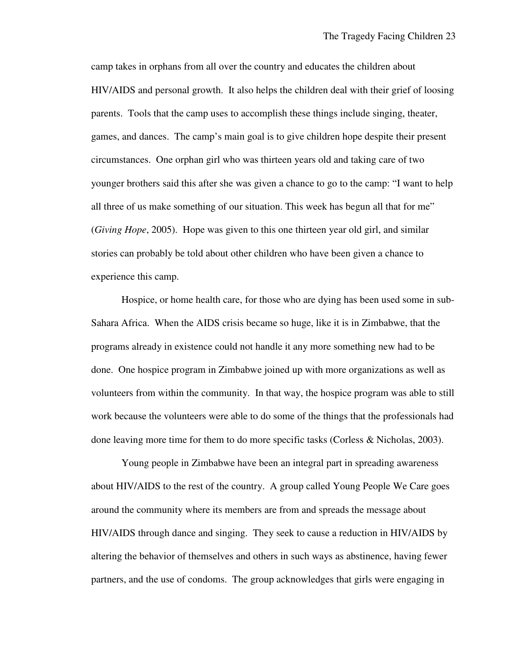camp takes in orphans from all over the country and educates the children about HIV/AIDS and personal growth. It also helps the children deal with their grief of loosing parents. Tools that the camp uses to accomplish these things include singing, theater, games, and dances. The camp's main goal is to give children hope despite their present circumstances. One orphan girl who was thirteen years old and taking care of two younger brothers said this after she was given a chance to go to the camp: "I want to help all three of us make something of our situation. This week has begun all that for me" (*Giving Hope*, 2005). Hope was given to this one thirteen year old girl, and similar stories can probably be told about other children who have been given a chance to experience this camp.

 Hospice, or home health care, for those who are dying has been used some in sub-Sahara Africa. When the AIDS crisis became so huge, like it is in Zimbabwe, that the programs already in existence could not handle it any more something new had to be done. One hospice program in Zimbabwe joined up with more organizations as well as volunteers from within the community. In that way, the hospice program was able to still work because the volunteers were able to do some of the things that the professionals had done leaving more time for them to do more specific tasks (Corless & Nicholas, 2003).

 Young people in Zimbabwe have been an integral part in spreading awareness about HIV/AIDS to the rest of the country. A group called Young People We Care goes around the community where its members are from and spreads the message about HIV/AIDS through dance and singing. They seek to cause a reduction in HIV/AIDS by altering the behavior of themselves and others in such ways as abstinence, having fewer partners, and the use of condoms. The group acknowledges that girls were engaging in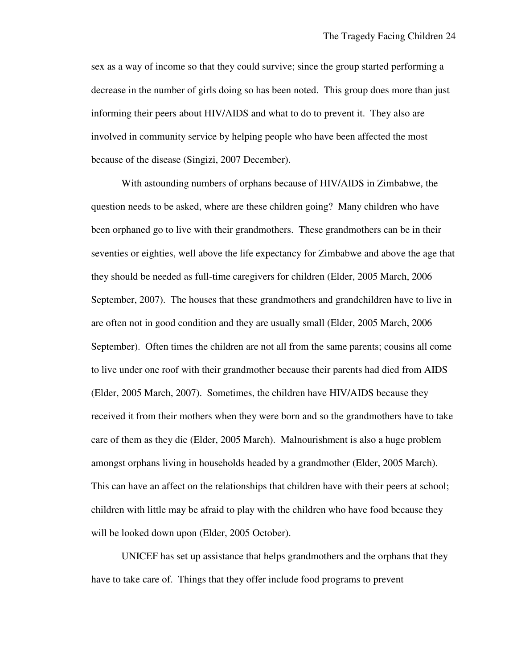sex as a way of income so that they could survive; since the group started performing a decrease in the number of girls doing so has been noted. This group does more than just informing their peers about HIV/AIDS and what to do to prevent it. They also are involved in community service by helping people who have been affected the most because of the disease (Singizi, 2007 December).

 With astounding numbers of orphans because of HIV/AIDS in Zimbabwe, the question needs to be asked, where are these children going? Many children who have been orphaned go to live with their grandmothers. These grandmothers can be in their seventies or eighties, well above the life expectancy for Zimbabwe and above the age that they should be needed as full-time caregivers for children (Elder, 2005 March, 2006 September, 2007). The houses that these grandmothers and grandchildren have to live in are often not in good condition and they are usually small (Elder, 2005 March, 2006 September). Often times the children are not all from the same parents; cousins all come to live under one roof with their grandmother because their parents had died from AIDS (Elder, 2005 March, 2007). Sometimes, the children have HIV/AIDS because they received it from their mothers when they were born and so the grandmothers have to take care of them as they die (Elder, 2005 March). Malnourishment is also a huge problem amongst orphans living in households headed by a grandmother (Elder, 2005 March). This can have an affect on the relationships that children have with their peers at school; children with little may be afraid to play with the children who have food because they will be looked down upon (Elder, 2005 October).

 UNICEF has set up assistance that helps grandmothers and the orphans that they have to take care of. Things that they offer include food programs to prevent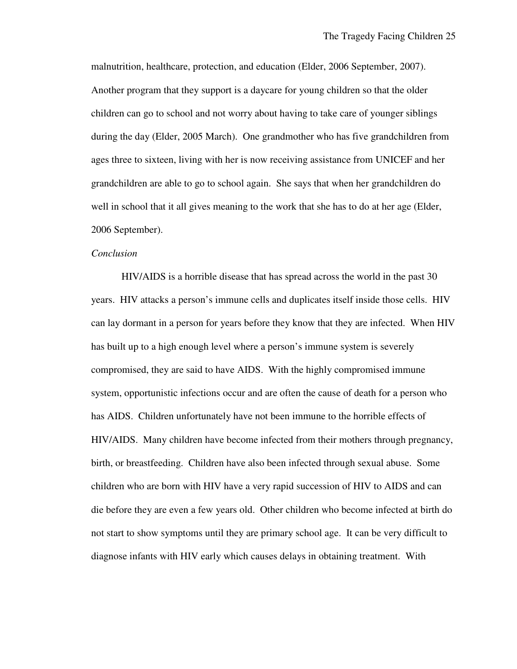malnutrition, healthcare, protection, and education (Elder, 2006 September, 2007). Another program that they support is a daycare for young children so that the older children can go to school and not worry about having to take care of younger siblings during the day (Elder, 2005 March). One grandmother who has five grandchildren from ages three to sixteen, living with her is now receiving assistance from UNICEF and her grandchildren are able to go to school again. She says that when her grandchildren do well in school that it all gives meaning to the work that she has to do at her age (Elder, 2006 September).

## *Conclusion*

 HIV/AIDS is a horrible disease that has spread across the world in the past 30 years. HIV attacks a person's immune cells and duplicates itself inside those cells. HIV can lay dormant in a person for years before they know that they are infected. When HIV has built up to a high enough level where a person's immune system is severely compromised, they are said to have AIDS. With the highly compromised immune system, opportunistic infections occur and are often the cause of death for a person who has AIDS. Children unfortunately have not been immune to the horrible effects of HIV/AIDS. Many children have become infected from their mothers through pregnancy, birth, or breastfeeding. Children have also been infected through sexual abuse. Some children who are born with HIV have a very rapid succession of HIV to AIDS and can die before they are even a few years old. Other children who become infected at birth do not start to show symptoms until they are primary school age. It can be very difficult to diagnose infants with HIV early which causes delays in obtaining treatment. With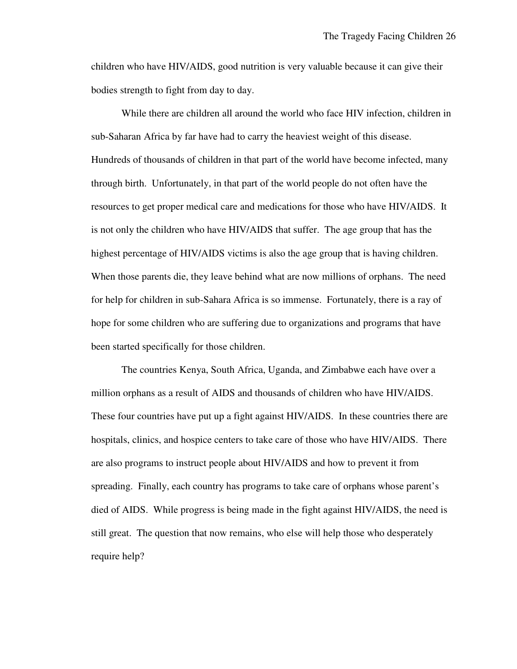children who have HIV/AIDS, good nutrition is very valuable because it can give their bodies strength to fight from day to day.

 While there are children all around the world who face HIV infection, children in sub-Saharan Africa by far have had to carry the heaviest weight of this disease. Hundreds of thousands of children in that part of the world have become infected, many through birth. Unfortunately, in that part of the world people do not often have the resources to get proper medical care and medications for those who have HIV/AIDS. It is not only the children who have HIV/AIDS that suffer. The age group that has the highest percentage of HIV/AIDS victims is also the age group that is having children. When those parents die, they leave behind what are now millions of orphans. The need for help for children in sub-Sahara Africa is so immense. Fortunately, there is a ray of hope for some children who are suffering due to organizations and programs that have been started specifically for those children.

 The countries Kenya, South Africa, Uganda, and Zimbabwe each have over a million orphans as a result of AIDS and thousands of children who have HIV/AIDS. These four countries have put up a fight against HIV/AIDS. In these countries there are hospitals, clinics, and hospice centers to take care of those who have HIV/AIDS. There are also programs to instruct people about HIV/AIDS and how to prevent it from spreading. Finally, each country has programs to take care of orphans whose parent's died of AIDS. While progress is being made in the fight against HIV/AIDS, the need is still great. The question that now remains, who else will help those who desperately require help?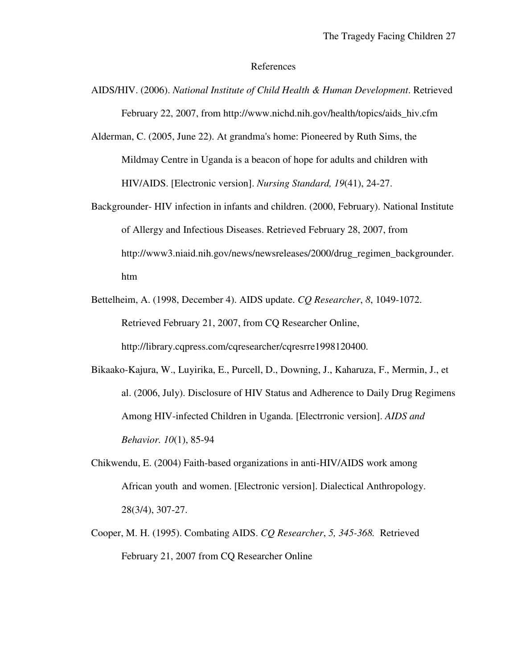#### References

- AIDS/HIV. (2006). *National Institute of Child Health & Human Development*. Retrieved February 22, 2007, from http://www.nichd.nih.gov/health/topics/aids\_hiv.cfm
- Alderman, C. (2005, June 22). At grandma's home: Pioneered by Ruth Sims, the Mildmay Centre in Uganda is a beacon of hope for adults and children with HIV/AIDS. [Electronic version]. *Nursing Standard, 19*(41), 24-27.
- Backgrounder- HIV infection in infants and children. (2000, February). National Institute of Allergy and Infectious Diseases. Retrieved February 28, 2007, from http://www3.niaid.nih.gov/news/newsreleases/2000/drug\_regimen\_backgrounder. htm
- Bettelheim, A. (1998, December 4). AIDS update. *CQ Researcher*, *8*, 1049-1072. Retrieved February 21, 2007, from CQ Researcher Online, http://library.cqpress.com/cqresearcher/cqresrre1998120400.
- Bikaako-Kajura, W., Luyirika, E., Purcell, D., Downing, J., Kaharuza, F., Mermin, J., et al. (2006, July). Disclosure of HIV Status and Adherence to Daily Drug Regimens Among HIV-infected Children in Uganda. [Electrronic version]. *AIDS and Behavior. 10*(1), 85-94
- Chikwendu, E. (2004) Faith-based organizations in anti-HIV/AIDS work among African youth and women. [Electronic version]. Dialectical Anthropology. 28(3/4), 307-27.
- Cooper, M. H. (1995). Combating AIDS. *CQ Researcher*, *5, 345-368.* Retrieved February 21, 2007 from CQ Researcher Online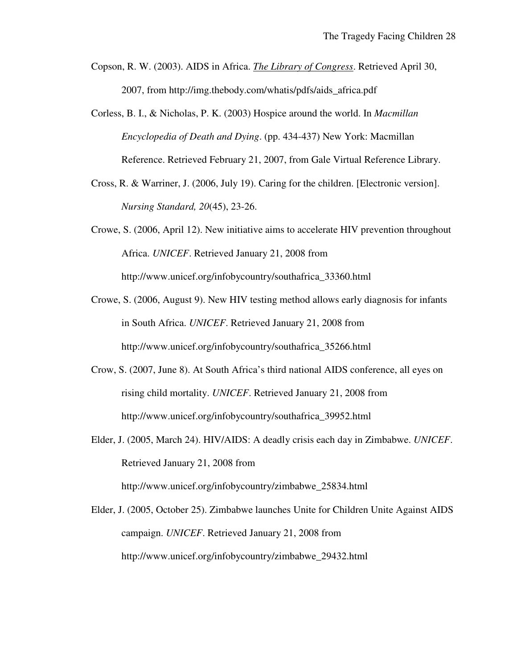- Copson, R. W. (2003). AIDS in Africa. *The Library of Congress*. Retrieved April 30, 2007, from http://img.thebody.com/whatis/pdfs/aids\_africa.pdf
- Corless, B. I., & Nicholas, P. K. (2003) Hospice around the world. In *Macmillan Encyclopedia of Death and Dying*. (pp. 434-437) New York: Macmillan Reference. Retrieved February 21, 2007, from Gale Virtual Reference Library.
- Cross, R. & Warriner, J. (2006, July 19). Caring for the children. [Electronic version]. *Nursing Standard, 20*(45), 23-26.
- Crowe, S. (2006, April 12). New initiative aims to accelerate HIV prevention throughout Africa. *UNICEF*. Retrieved January 21, 2008 from http://www.unicef.org/infobycountry/southafrica\_33360.html
- Crowe, S. (2006, August 9). New HIV testing method allows early diagnosis for infants in South Africa. *UNICEF*. Retrieved January 21, 2008 from http://www.unicef.org/infobycountry/southafrica\_35266.html
- Crow, S. (2007, June 8). At South Africa's third national AIDS conference, all eyes on rising child mortality. *UNICEF*. Retrieved January 21, 2008 from http://www.unicef.org/infobycountry/southafrica\_39952.html
- Elder, J. (2005, March 24). HIV/AIDS: A deadly crisis each day in Zimbabwe. *UNICEF*. Retrieved January 21, 2008 from http://www.unicef.org/infobycountry/zimbabwe\_25834.html

Elder, J. (2005, October 25). Zimbabwe launches Unite for Children Unite Against AIDS campaign. *UNICEF*. Retrieved January 21, 2008 from http://www.unicef.org/infobycountry/zimbabwe\_29432.html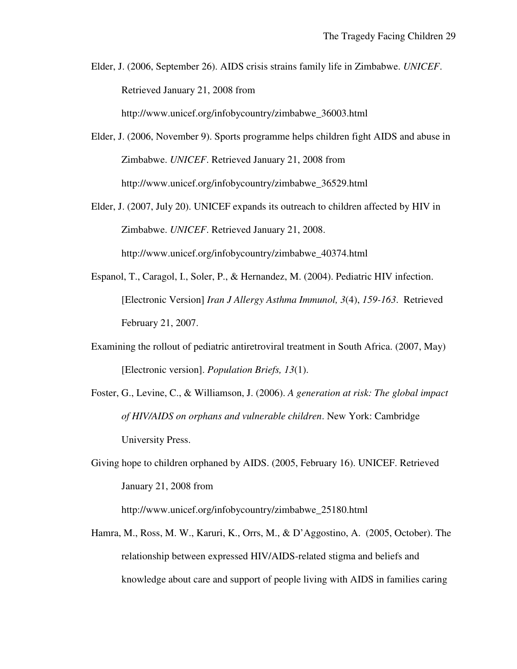Elder, J. (2006, September 26). AIDS crisis strains family life in Zimbabwe. *UNICEF*. Retrieved January 21, 2008 from

http://www.unicef.org/infobycountry/zimbabwe\_36003.html

- Elder, J. (2006, November 9). Sports programme helps children fight AIDS and abuse in Zimbabwe. *UNICEF*. Retrieved January 21, 2008 from http://www.unicef.org/infobycountry/zimbabwe\_36529.html
- Elder, J. (2007, July 20). UNICEF expands its outreach to children affected by HIV in Zimbabwe. *UNICEF*. Retrieved January 21, 2008. http://www.unicef.org/infobycountry/zimbabwe\_40374.html
- Espanol, T., Caragol, I., Soler, P., & Hernandez, M. (2004). Pediatric HIV infection. [Electronic Version] *Iran J Allergy Asthma Immunol, 3*(4), *159-163*. Retrieved February 21, 2007.
- Examining the rollout of pediatric antiretroviral treatment in South Africa. (2007, May) [Electronic version]. *Population Briefs, 13*(1).
- Foster, G., Levine, C., & Williamson, J. (2006). *A generation at risk: The global impact of HIV/AIDS on orphans and vulnerable children*. New York: Cambridge University Press.
- Giving hope to children orphaned by AIDS. (2005, February 16). UNICEF. Retrieved January 21, 2008 from

http://www.unicef.org/infobycountry/zimbabwe\_25180.html

Hamra, M., Ross, M. W., Karuri, K., Orrs, M., & D'Aggostino, A. (2005, October). The relationship between expressed HIV/AIDS-related stigma and beliefs and knowledge about care and support of people living with AIDS in families caring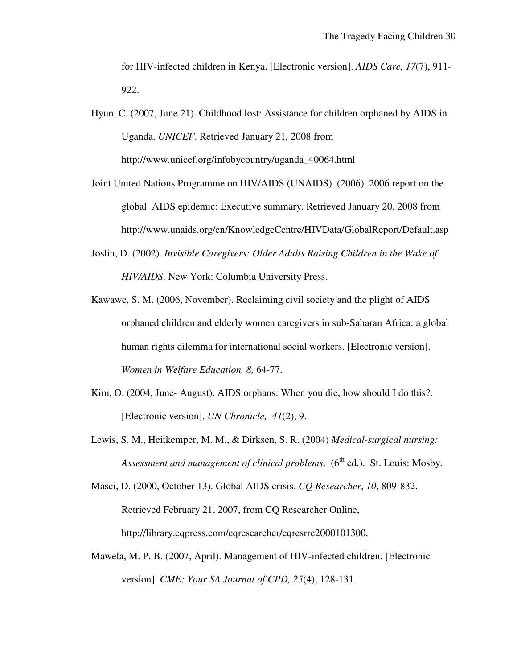for HIV-infected children in Kenya. [Electronic version]. *AIDS Care*, *17*(7), 911- 922.

Hyun, C. (2007, June 21). Childhood lost: Assistance for children orphaned by AIDS in Uganda. *UNICEF*. Retrieved January 21, 2008 from http://www.unicef.org/infobycountry/uganda\_40064.html

- Joint United Nations Programme on HIV/AIDS (UNAIDS). (2006). 2006 report on the global AIDS epidemic: Executive summary. Retrieved January 20, 2008 from http://www.unaids.org/en/KnowledgeCentre/HIVData/GlobalReport/Default.asp
- Joslin, D. (2002). *Invisible Caregivers: Older Adults Raising Children in the Wake of HIV/AIDS*. New York: Columbia University Press.
- Kawawe, S. M. (2006, November). Reclaiming civil society and the plight of AIDS orphaned children and elderly women caregivers in sub-Saharan Africa: a global human rights dilemma for international social workers. [Electronic version]. *Women in Welfare Education. 8,* 64-77.
- Kim, O. (2004, June- August). AIDS orphans: When you die, how should I do this?. [Electronic version]. *UN Chronicle, 41*(2), 9.
- Lewis, S. M., Heitkemper, M. M., & Dirksen, S. R. (2004) *Medical-surgical nursing: Assessment and management of clinical problems.* (6<sup>th</sup> ed.). St. Louis: Mosby.

Masci, D. (2000, October 13). Global AIDS crisis. *CQ Researcher*, *10*, 809-832. Retrieved February 21, 2007, from CQ Researcher Online, http://library.cqpress.com/cqresearcher/cqresrre2000101300.

Mawela, M. P. B. (2007, April). Management of HIV-infected children. [Electronic version]. *CME: Your SA Journal of CPD, 25*(4), 128-131.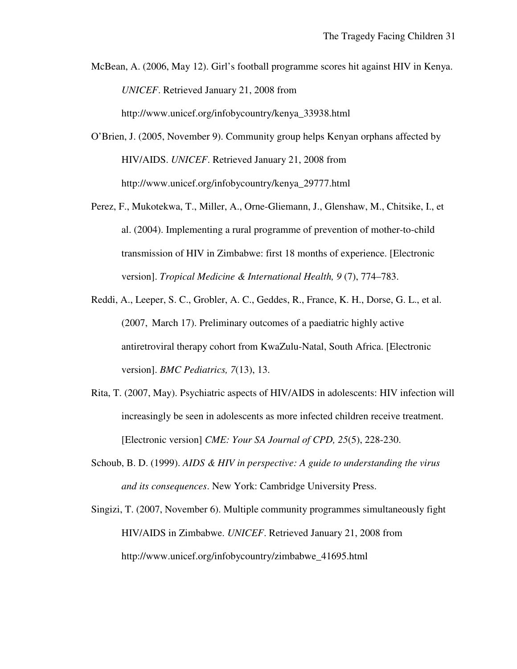McBean, A. (2006, May 12). Girl's football programme scores hit against HIV in Kenya. *UNICEF*. Retrieved January 21, 2008 from

http://www.unicef.org/infobycountry/kenya\_33938.html

- O'Brien, J. (2005, November 9). Community group helps Kenyan orphans affected by HIV/AIDS. *UNICEF*. Retrieved January 21, 2008 from http://www.unicef.org/infobycountry/kenya\_29777.html
- Perez, F., Mukotekwa, T., Miller, A., Orne-Gliemann, J., Glenshaw, M., Chitsike, I., et al. (2004). Implementing a rural programme of prevention of mother-to-child transmission of HIV in Zimbabwe: first 18 months of experience. [Electronic version]. *Tropical Medicine & International Health, 9* (7), 774–783.
- Reddi, A., Leeper, S. C., Grobler, A. C., Geddes, R., France, K. H., Dorse, G. L., et al. (2007, March 17). Preliminary outcomes of a paediatric highly active antiretroviral therapy cohort from KwaZulu-Natal, South Africa. [Electronic version]. *BMC Pediatrics, 7*(13), 13.
- Rita, T. (2007, May). Psychiatric aspects of HIV/AIDS in adolescents: HIV infection will increasingly be seen in adolescents as more infected children receive treatment. [Electronic version] *CME: Your SA Journal of CPD, 25*(5), 228-230.
- Schoub, B. D. (1999). *AIDS & HIV in perspective: A guide to understanding the virus and its consequences*. New York: Cambridge University Press.
- Singizi, T. (2007, November 6). Multiple community programmes simultaneously fight HIV/AIDS in Zimbabwe. *UNICEF*. Retrieved January 21, 2008 from http://www.unicef.org/infobycountry/zimbabwe\_41695.html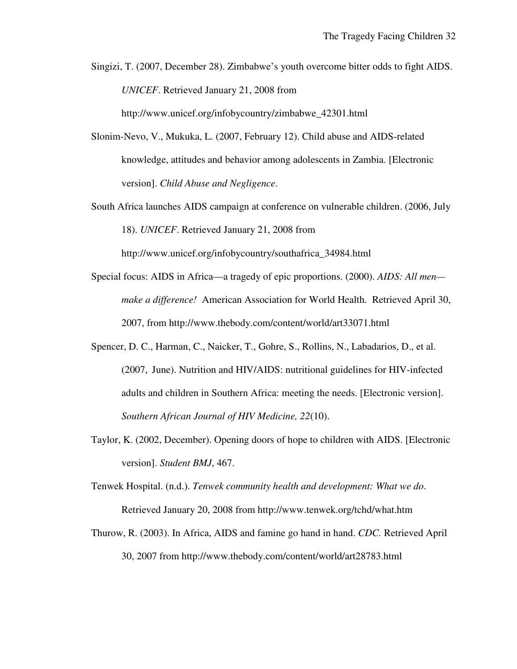Singizi, T. (2007, December 28). Zimbabwe's youth overcome bitter odds to fight AIDS. *UNICEF*. Retrieved January 21, 2008 from

http://www.unicef.org/infobycountry/zimbabwe\_42301.html

- Slonim-Nevo, V., Mukuka, L. (2007, February 12). Child abuse and AIDS-related knowledge, attitudes and behavior among adolescents in Zambia. [Electronic version]. *Child Abuse and Negligence*.
- South Africa launches AIDS campaign at conference on vulnerable children. (2006, July 18). *UNICEF*. Retrieved January 21, 2008 from

http://www.unicef.org/infobycountry/southafrica\_34984.html

- Special focus: AIDS in Africa—a tragedy of epic proportions. (2000). *AIDS: All men make a difference!* American Association for World Health. Retrieved April 30, 2007, from http://www.thebody.com/content/world/art33071.html
- Spencer, D. C., Harman, C., Naicker, T., Gohre, S., Rollins, N., Labadarios, D., et al. (2007, June). Nutrition and HIV/AIDS: nutritional guidelines for HIV-infected adults and children in Southern Africa: meeting the needs. [Electronic version]. *Southern African Journal of HIV Medicine, 22*(10).
- Taylor, K. (2002, December). Opening doors of hope to children with AIDS. [Electronic version]. *Student BMJ*, 467.
- Tenwek Hospital. (n.d.). *Tenwek community health and development: What we do*. Retrieved January 20, 2008 from http://www.tenwek.org/tchd/what.htm
- Thurow, R. (2003). In Africa, AIDS and famine go hand in hand. *CDC.* Retrieved April 30, 2007 from http://www.thebody.com/content/world/art28783.html